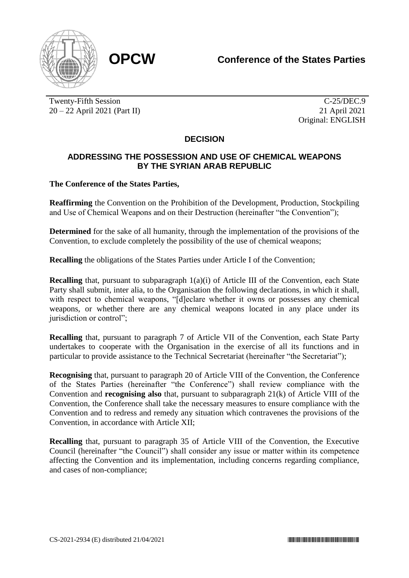

Twenty-Fifth Session 20 – 22 April 2021 (Part II)

C-25/DEC.9 21 April 2021 Original: ENGLISH

## **DECISION**

## **ADDRESSING THE POSSESSION AND USE OF CHEMICAL WEAPONS BY THE SYRIAN ARAB REPUBLIC**

## **The Conference of the States Parties,**

**Reaffirming** the Convention on the Prohibition of the Development, Production, Stockpiling and Use of Chemical Weapons and on their Destruction (hereinafter "the Convention");

**Determined** for the sake of all humanity, through the implementation of the provisions of the Convention, to exclude completely the possibility of the use of chemical weapons;

**Recalling** the obligations of the States Parties under Article I of the Convention;

**Recalling** that, pursuant to subparagraph  $1(a)(i)$  of Article III of the Convention, each State Party shall submit, inter alia, to the Organisation the following declarations, in which it shall, with respect to chemical weapons, "[d]eclare whether it owns or possesses any chemical weapons, or whether there are any chemical weapons located in any place under its jurisdiction or control";

**Recalling** that, pursuant to paragraph 7 of Article VII of the Convention, each State Party undertakes to cooperate with the Organisation in the exercise of all its functions and in particular to provide assistance to the Technical Secretariat (hereinafter "the Secretariat");

**Recognising** that, pursuant to paragraph 20 of Article VIII of the Convention, the Conference of the States Parties (hereinafter "the Conference") shall review compliance with the Convention and **recognising also** that, pursuant to subparagraph 21(k) of Article VIII of the Convention, the Conference shall take the necessary measures to ensure compliance with the Convention and to redress and remedy any situation which contravenes the provisions of the Convention, in accordance with Article XII;

**Recalling** that, pursuant to paragraph 35 of Article VIII of the Convention, the Executive Council (hereinafter "the Council") shall consider any issue or matter within its competence affecting the Convention and its implementation, including concerns regarding compliance, and cases of non-compliance;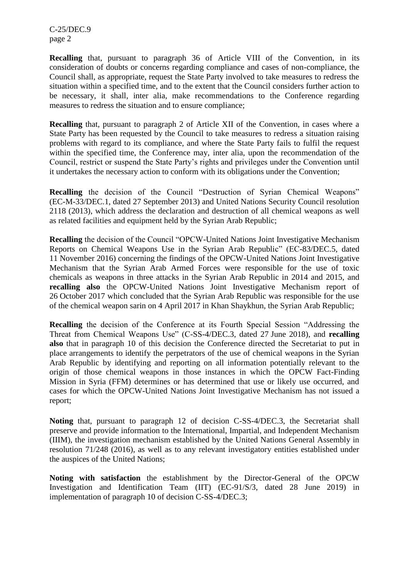C-25/DEC.9 page 2

**Recalling** that, pursuant to paragraph 36 of Article VIII of the Convention, in its consideration of doubts or concerns regarding compliance and cases of non-compliance, the Council shall, as appropriate, request the State Party involved to take measures to redress the situation within a specified time, and to the extent that the Council considers further action to be necessary, it shall, inter alia, make recommendations to the Conference regarding measures to redress the situation and to ensure compliance;

**Recalling** that, pursuant to paragraph 2 of Article XII of the Convention, in cases where a State Party has been requested by the Council to take measures to redress a situation raising problems with regard to its compliance, and where the State Party fails to fulfil the request within the specified time, the Conference may, inter alia, upon the recommendation of the Council, restrict or suspend the State Party's rights and privileges under the Convention until it undertakes the necessary action to conform with its obligations under the Convention;

**Recalling** the decision of the Council "Destruction of Syrian Chemical Weapons" (EC-M-33/DEC.1, dated 27 September 2013) and United Nations Security Council resolution 2118 (2013), which address the declaration and destruction of all chemical weapons as well as related facilities and equipment held by the Syrian Arab Republic;

**Recalling** the decision of the Council "OPCW-United Nations Joint Investigative Mechanism Reports on Chemical Weapons Use in the Syrian Arab Republic" (EC-83/DEC.5, dated 11 November 2016) concerning the findings of the OPCW-United Nations Joint Investigative Mechanism that the Syrian Arab Armed Forces were responsible for the use of toxic chemicals as weapons in three attacks in the Syrian Arab Republic in 2014 and 2015, and **recalling also** the OPCW-United Nations Joint Investigative Mechanism report of 26 October 2017 which concluded that the Syrian Arab Republic was responsible for the use of the chemical weapon sarin on 4 April 2017 in Khan Shaykhun, the Syrian Arab Republic;

**Recalling** the decision of the Conference at its Fourth Special Session "Addressing the Threat from Chemical Weapons Use" (C-SS-4/DEC.3, dated 27 June 2018), and **recalling also** that in paragraph 10 of this decision the Conference directed the Secretariat to put in place arrangements to identify the perpetrators of the use of chemical weapons in the Syrian Arab Republic by identifying and reporting on all information potentially relevant to the origin of those chemical weapons in those instances in which the OPCW Fact-Finding Mission in Syria (FFM) determines or has determined that use or likely use occurred, and cases for which the OPCW-United Nations Joint Investigative Mechanism has not issued a report;

**Noting** that, pursuant to paragraph 12 of decision C-SS-4/DEC.3, the Secretariat shall preserve and provide information to the International, Impartial, and Independent Mechanism (IIIM), the investigation mechanism established by the United Nations General Assembly in resolution 71/248 (2016), as well as to any relevant investigatory entities established under the auspices of the United Nations;

**Noting with satisfaction** the establishment by the Director-General of the OPCW Investigation and Identification Team (IIT) (EC-91/S/3, dated 28 June 2019) in implementation of paragraph 10 of decision C-SS-4/DEC.3;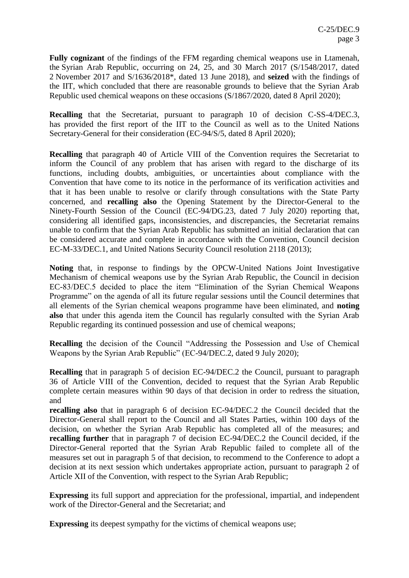**Fully cognizant** of the findings of the FFM regarding chemical weapons use in Ltamenah, the Syrian Arab Republic, occurring on 24, 25, and 30 March 2017 (S/1548/2017, dated 2 November 2017 and S/1636/2018\*, dated 13 June 2018), and **seized** with the findings of the IIT, which concluded that there are reasonable grounds to believe that the Syrian Arab Republic used chemical weapons on these occasions (S/1867/2020, dated 8 April 2020);

**Recalling** that the Secretariat, pursuant to paragraph 10 of decision C-SS-4/DEC.3, has provided the first report of the IIT to the Council as well as to the United Nations Secretary-General for their consideration (EC-94/S/5, dated 8 April 2020);

**Recalling** that paragraph 40 of Article VIII of the Convention requires the Secretariat to inform the Council of any problem that has arisen with regard to the discharge of its functions, including doubts, ambiguities, or uncertainties about compliance with the Convention that have come to its notice in the performance of its verification activities and that it has been unable to resolve or clarify through consultations with the State Party concerned, and **recalling also** the Opening Statement by the Director-General to the Ninety-Fourth Session of the Council (EC-94/DG.23, dated 7 July 2020) reporting that, considering all identified gaps, inconsistencies, and discrepancies, the Secretariat remains unable to confirm that the Syrian Arab Republic has submitted an initial declaration that can be considered accurate and complete in accordance with the Convention, Council decision EC-M-33/DEC.1, and United Nations Security Council resolution 2118 (2013);

**Noting** that, in response to findings by the OPCW-United Nations Joint Investigative Mechanism of chemical weapons use by the Syrian Arab Republic, the Council in decision EC-83/DEC.5 decided to place the item "Elimination of the Syrian Chemical Weapons Programme" on the agenda of all its future regular sessions until the Council determines that all elements of the Syrian chemical weapons programme have been eliminated, and **noting also** that under this agenda item the Council has regularly consulted with the Syrian Arab Republic regarding its continued possession and use of chemical weapons;

**Recalling** the decision of the Council "Addressing the Possession and Use of Chemical Weapons by the Syrian Arab Republic" (EC-94/DEC.2, dated 9 July 2020);

**Recalling** that in paragraph 5 of decision EC-94/DEC.2 the Council, pursuant to paragraph 36 of Article VIII of the Convention, decided to request that the Syrian Arab Republic complete certain measures within 90 days of that decision in order to redress the situation, and

**recalling also** that in paragraph 6 of decision EC-94/DEC.2 the Council decided that the Director-General shall report to the Council and all States Parties, within 100 days of the decision, on whether the Syrian Arab Republic has completed all of the measures; and **recalling further** that in paragraph 7 of decision EC-94/DEC.2 the Council decided, if the Director-General reported that the Syrian Arab Republic failed to complete all of the measures set out in paragraph 5 of that decision, to recommend to the Conference to adopt a decision at its next session which undertakes appropriate action, pursuant to paragraph 2 of Article XII of the Convention, with respect to the Syrian Arab Republic;

**Expressing** its full support and appreciation for the professional, impartial, and independent work of the Director-General and the Secretariat; and

**Expressing** its deepest sympathy for the victims of chemical weapons use;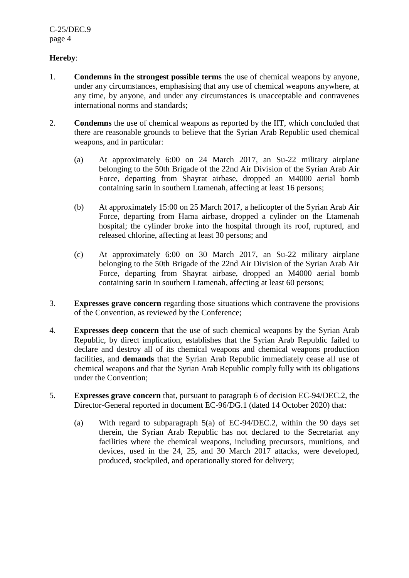## **Hereby**:

- 1. **Condemns in the strongest possible terms** the use of chemical weapons by anyone, under any circumstances, emphasising that any use of chemical weapons anywhere, at any time, by anyone, and under any circumstances is unacceptable and contravenes international norms and standards;
- 2. **Condemns** the use of chemical weapons as reported by the IIT, which concluded that there are reasonable grounds to believe that the Syrian Arab Republic used chemical weapons, and in particular:
	- (a) At approximately 6:00 on 24 March 2017, an Su-22 military airplane belonging to the 50th Brigade of the 22nd Air Division of the Syrian Arab Air Force, departing from Shayrat airbase, dropped an M4000 aerial bomb containing sarin in southern Ltamenah, affecting at least 16 persons;
	- (b) At approximately 15:00 on 25 March 2017, a helicopter of the Syrian Arab Air Force, departing from Hama airbase, dropped a cylinder on the Ltamenah hospital; the cylinder broke into the hospital through its roof, ruptured, and released chlorine, affecting at least 30 persons; and
	- (c) At approximately 6:00 on 30 March 2017, an Su-22 military airplane belonging to the 50th Brigade of the 22nd Air Division of the Syrian Arab Air Force, departing from Shayrat airbase, dropped an M4000 aerial bomb containing sarin in southern Ltamenah, affecting at least 60 persons;
- 3. **Expresses grave concern** regarding those situations which contravene the provisions of the Convention, as reviewed by the Conference;
- 4. **Expresses deep concern** that the use of such chemical weapons by the Syrian Arab Republic, by direct implication, establishes that the Syrian Arab Republic failed to declare and destroy all of its chemical weapons and chemical weapons production facilities, and **demands** that the Syrian Arab Republic immediately cease all use of chemical weapons and that the Syrian Arab Republic comply fully with its obligations under the Convention;
- 5. **Expresses grave concern** that, pursuant to paragraph 6 of decision EC-94/DEC.2, the Director-General reported in document EC-96/DG.1 (dated 14 October 2020) that:
	- (a) With regard to subparagraph 5(a) of EC-94/DEC.2, within the 90 days set therein, the Syrian Arab Republic has not declared to the Secretariat any facilities where the chemical weapons, including precursors, munitions, and devices, used in the 24, 25, and 30 March 2017 attacks, were developed, produced, stockpiled, and operationally stored for delivery;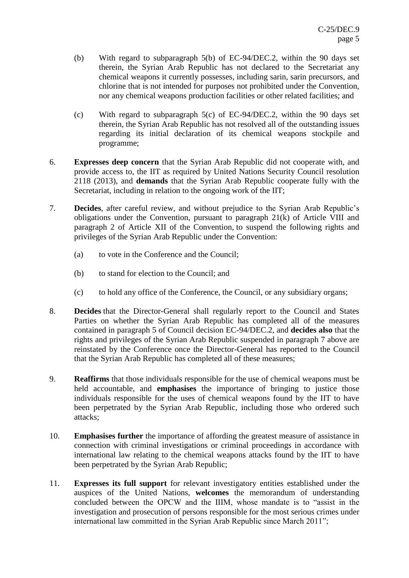- (b) With regard to subparagraph 5(b) of EC-94/DEC.2, within the 90 days set therein, the Syrian Arab Republic has not declared to the Secretariat any chemical weapons it currently possesses, including sarin, sarin precursors, and chlorine that is not intended for purposes not prohibited under the Convention, nor any chemical weapons production facilities or other related facilities; and
- (c) With regard to subparagraph 5(c) of EC-94/DEC.2, within the 90 days set therein, the Syrian Arab Republic has not resolved all of the outstanding issues regarding its initial declaration of its chemical weapons stockpile and programme;
- 6. **Expresses deep concern** that the Syrian Arab Republic did not cooperate with, and provide access to, the IIT as required by United Nations Security Council resolution 2118 (2013), and **demands** that the Syrian Arab Republic cooperate fully with the Secretariat, including in relation to the ongoing work of the IIT;
- 7. **Decides**, after careful review, and without prejudice to the Syrian Arab Republic's obligations under the Convention, pursuant to paragraph 21(k) of Article VIII and paragraph 2 of Article XII of the Convention, to suspend the following rights and privileges of the Syrian Arab Republic under the Convention:
	- (a) to vote in the Conference and the Council;
	- (b) to stand for election to the Council; and
	- (c) to hold any office of the Conference, the Council, or any subsidiary organs;
- 8. **Decides** that the Director-General shall regularly report to the Council and States Parties on whether the Syrian Arab Republic has completed all of the measures contained in paragraph 5 of Council decision EC-94/DEC.2, and **decides also** that the rights and privileges of the Syrian Arab Republic suspended in paragraph 7 above are reinstated by the Conference once the Director-General has reported to the Council that the Syrian Arab Republic has completed all of these measures;
- 9. **Reaffirms** that those individuals responsible for the use of chemical weapons must be held accountable, and **emphasises** the importance of bringing to justice those individuals responsible for the uses of chemical weapons found by the IIT to have been perpetrated by the Syrian Arab Republic, including those who ordered such attacks;
- 10. **Emphasises further** the importance of affording the greatest measure of assistance in connection with criminal investigations or criminal proceedings in accordance with international law relating to the chemical weapons attacks found by the IIT to have been perpetrated by the Syrian Arab Republic;
- 11. **Expresses its full support** for relevant investigatory entities established under the auspices of the United Nations, **welcomes** the memorandum of understanding concluded between the OPCW and the IIIM, whose mandate is to "assist in the investigation and prosecution of persons responsible for the most serious crimes under international law committed in the Syrian Arab Republic since March 2011";